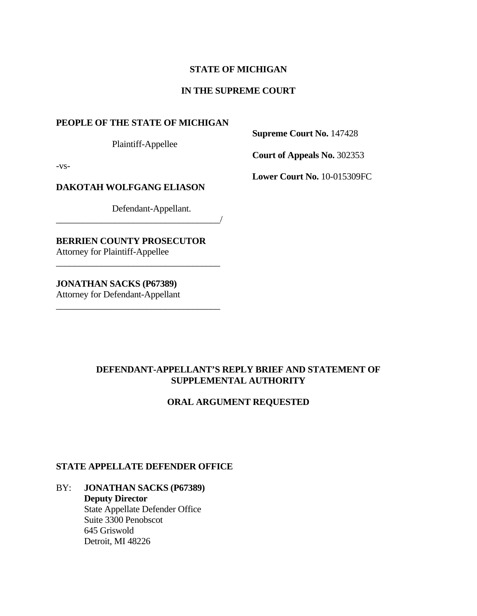## **STATE OF MICHIGAN**

#### **IN THE SUPREME COURT**

#### **PEOPLE OF THE STATE OF MICHIGAN**

Plaintiff-Appellee

 **Supreme Court No.** 147428

 **Court of Appeals No.** 302353

-vs-

#### **DAKOTAH WOLFGANG ELIASON**

Defendant-Appellant.

\_\_\_\_\_\_\_\_\_\_\_\_\_\_\_\_\_\_\_\_\_\_\_\_\_\_\_\_\_\_\_\_\_\_\_\_/

 $\frac{1}{2}$  , and the set of the set of the set of the set of the set of the set of the set of the set of the set of the set of the set of the set of the set of the set of the set of the set of the set of the set of the set

 $\frac{1}{2}$  , and the set of the set of the set of the set of the set of the set of the set of the set of the set of the set of the set of the set of the set of the set of the set of the set of the set of the set of the set

**BERRIEN COUNTY PROSECUTOR**  Attorney for Plaintiff-Appellee

**JONATHAN SACKS (P67389)**

Attorney for Defendant-Appellant

## **DEFENDANT-APPELLANT'S REPLY BRIEF AND STATEMENT OF SUPPLEMENTAL AUTHORITY**

## **ORAL ARGUMENT REQUESTED**

#### **STATE APPELLATE DEFENDER OFFICE**

BY: **JONATHAN SACKS (P67389) Deputy Director**  State Appellate Defender Office Suite 3300 Penobscot 645 Griswold Detroit, MI 48226

**Lower Court No.** 10-015309FC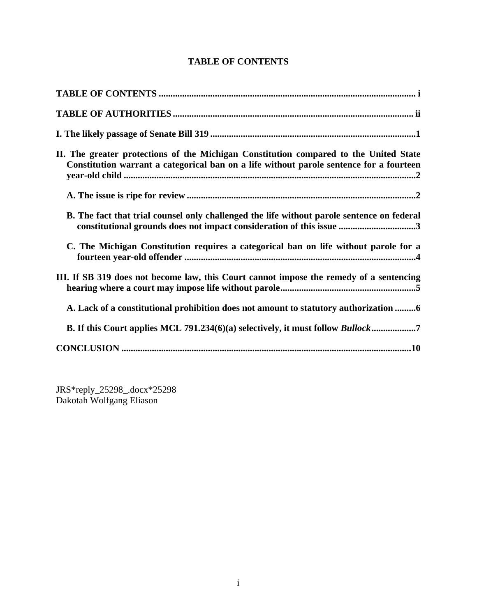# **TABLE OF CONTENTS**

| II. The greater protections of the Michigan Constitution compared to the United State<br>Constitution warrant a categorical ban on a life without parole sentence for a fourteen |
|----------------------------------------------------------------------------------------------------------------------------------------------------------------------------------|
|                                                                                                                                                                                  |
| B. The fact that trial counsel only challenged the life without parole sentence on federal<br>constitutional grounds does not impact consideration of this issue 3               |
| C. The Michigan Constitution requires a categorical ban on life without parole for a                                                                                             |
| III. If SB 319 does not become law, this Court cannot impose the remedy of a sentencing                                                                                          |
| A. Lack of a constitutional prohibition does not amount to statutory authorization 6                                                                                             |
|                                                                                                                                                                                  |
|                                                                                                                                                                                  |

JRS\*reply\_25298\_.docx\*25298 Dakotah Wolfgang Eliason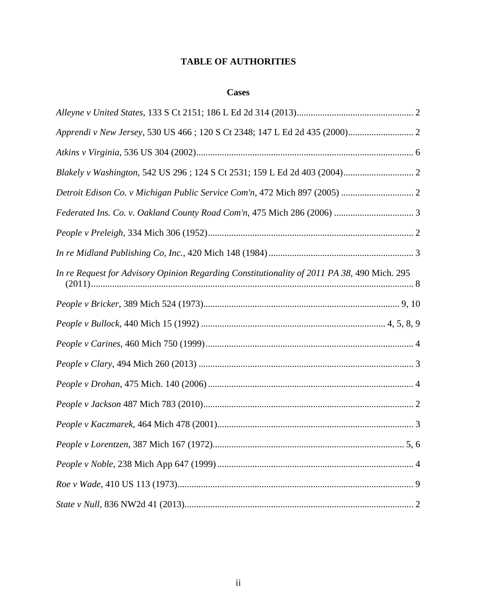## **TABLE OF AUTHORITIES**

## **Cases**

| In re Request for Advisory Opinion Regarding Constitutionality of 2011 PA 38, 490 Mich. 295 |
|---------------------------------------------------------------------------------------------|
|                                                                                             |
|                                                                                             |
|                                                                                             |
|                                                                                             |
|                                                                                             |
|                                                                                             |
|                                                                                             |
|                                                                                             |
|                                                                                             |
|                                                                                             |
|                                                                                             |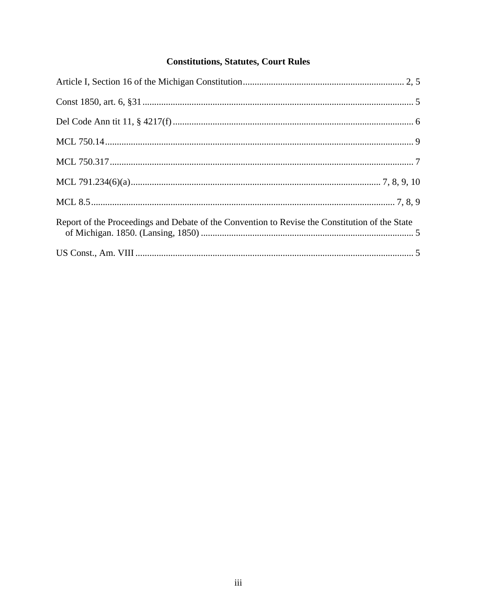# **Constitutions, Statutes, Court Rules**

| Report of the Proceedings and Debate of the Convention to Revise the Constitution of the State |  |
|------------------------------------------------------------------------------------------------|--|
|                                                                                                |  |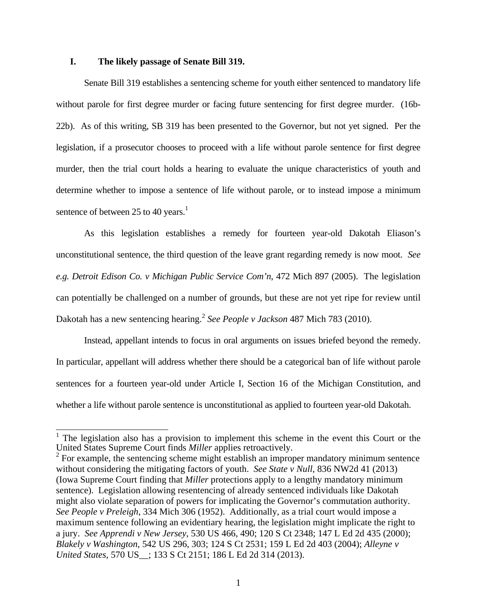#### **I. The likely passage of Senate Bill 319.**

 Senate Bill 319 establishes a sentencing scheme for youth either sentenced to mandatory life without parole for first degree murder or facing future sentencing for first degree murder. (16b-22b). As of this writing, SB 319 has been presented to the Governor, but not yet signed. Per the legislation, if a prosecutor chooses to proceed with a life without parole sentence for first degree murder, then the trial court holds a hearing to evaluate the unique characteristics of youth and determine whether to impose a sentence of life without parole, or to instead impose a minimum sentence of between 25 to 40 years.<sup>1</sup>

 As this legislation establishes a remedy for fourteen year-old Dakotah Eliason's unconstitutional sentence, the third question of the leave grant regarding remedy is now moot. *See e.g. Detroit Edison Co. v Michigan Public Service Com'n*, 472 Mich 897 (2005). The legislation can potentially be challenged on a number of grounds, but these are not yet ripe for review until Dakotah has a new sentencing hearing.<sup>2</sup> *See People v Jackson* 487 Mich 783 (2010).

 Instead, appellant intends to focus in oral arguments on issues briefed beyond the remedy. In particular, appellant will address whether there should be a categorical ban of life without parole sentences for a fourteen year-old under Article I, Section 16 of the Michigan Constitution, and whether a life without parole sentence is unconstitutional as applied to fourteen year-old Dakotah.

<sup>&</sup>lt;sup>1</sup> The legislation also has a provision to implement this scheme in the event this Court or the United States Supreme Court finds *Miller* applies retroactively. 2

 $2$  For example, the sentencing scheme might establish an improper mandatory minimum sentence without considering the mitigating factors of youth. *See State v Null*, 836 NW2d 41 (2013) (Iowa Supreme Court finding that *Miller* protections apply to a lengthy mandatory minimum sentence). Legislation allowing resentencing of already sentenced individuals like Dakotah might also violate separation of powers for implicating the Governor's commutation authority. *See People v Preleigh*, 334 Mich 306 (1952). Additionally, as a trial court would impose a maximum sentence following an evidentiary hearing, the legislation might implicate the right to a jury. *See Apprendi v New Jersey*, 530 US 466, 490; 120 S Ct 2348; 147 L Ed 2d 435 (2000); *Blakely v Washington*, 542 US 296, 303; 124 S Ct 2531; 159 L Ed 2d 403 (2004); *Alleyne v United States*, 570 US\_\_; 133 S Ct 2151; 186 L Ed 2d 314 (2013).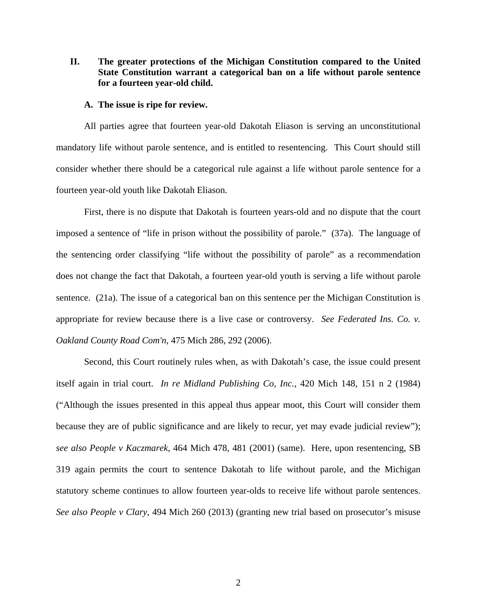## **II. The greater protections of the Michigan Constitution compared to the United State Constitution warrant a categorical ban on a life without parole sentence for a fourteen year-old child.**

#### **A. The issue is ripe for review.**

All parties agree that fourteen year-old Dakotah Eliason is serving an unconstitutional mandatory life without parole sentence, and is entitled to resentencing. This Court should still consider whether there should be a categorical rule against a life without parole sentence for a fourteen year-old youth like Dakotah Eliason.

First, there is no dispute that Dakotah is fourteen years-old and no dispute that the court imposed a sentence of "life in prison without the possibility of parole." (37a). The language of the sentencing order classifying "life without the possibility of parole" as a recommendation does not change the fact that Dakotah, a fourteen year-old youth is serving a life without parole sentence. (21a). The issue of a categorical ban on this sentence per the Michigan Constitution is appropriate for review because there is a live case or controversy. *See Federated Ins. Co. v. Oakland County Road Com'n*, 475 Mich 286, 292 (2006).

Second, this Court routinely rules when, as with Dakotah's case, the issue could present itself again in trial court. *In re Midland Publishing Co, Inc.*, 420 Mich 148, 151 n 2 (1984) ("Although the issues presented in this appeal thus appear moot, this Court will consider them because they are of public significance and are likely to recur, yet may evade judicial review"); *see also People v Kaczmarek*, 464 Mich 478, 481 (2001) (same). Here, upon resentencing, SB 319 again permits the court to sentence Dakotah to life without parole, and the Michigan statutory scheme continues to allow fourteen year-olds to receive life without parole sentences. *See also People v Clary*, 494 Mich 260 (2013) (granting new trial based on prosecutor's misuse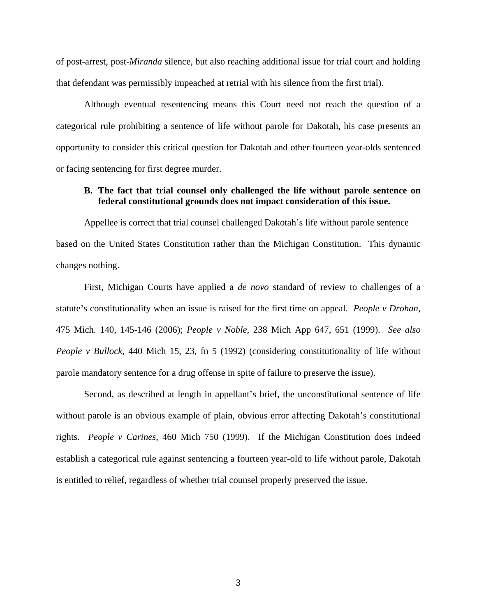of post-arrest, post-*Miranda* silence, but also reaching additional issue for trial court and holding that defendant was permissibly impeached at retrial with his silence from the first trial).

Although eventual resentencing means this Court need not reach the question of a categorical rule prohibiting a sentence of life without parole for Dakotah, his case presents an opportunity to consider this critical question for Dakotah and other fourteen year-olds sentenced or facing sentencing for first degree murder.

#### **B. The fact that trial counsel only challenged the life without parole sentence on federal constitutional grounds does not impact consideration of this issue.**

Appellee is correct that trial counsel challenged Dakotah's life without parole sentence based on the United States Constitution rather than the Michigan Constitution. This dynamic changes nothing.

 First, Michigan Courts have applied a *de novo* standard of review to challenges of a statute's constitutionality when an issue is raised for the first time on appeal. *People v Drohan*, 475 Mich. 140, 145-146 (2006); *People v Noble,* 238 Mich App 647, 651 (1999). *See also People v Bullock*, 440 Mich 15, 23, fn 5 (1992) (considering constitutionality of life without parole mandatory sentence for a drug offense in spite of failure to preserve the issue).

 Second, as described at length in appellant's brief, the unconstitutional sentence of life without parole is an obvious example of plain, obvious error affecting Dakotah's constitutional rights. *People v Carines*, 460 Mich 750 (1999). If the Michigan Constitution does indeed establish a categorical rule against sentencing a fourteen year-old to life without parole, Dakotah is entitled to relief, regardless of whether trial counsel properly preserved the issue.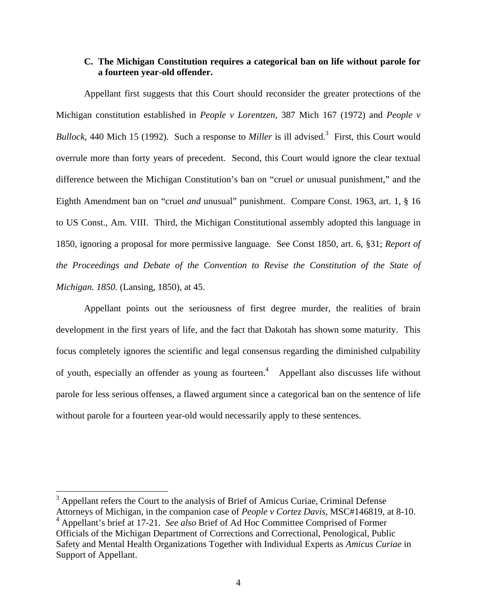#### **C. The Michigan Constitution requires a categorical ban on life without parole for a fourteen year-old offender.**

Appellant first suggests that this Court should reconsider the greater protections of the Michigan constitution established in *People v Lorentzen*, 387 Mich 167 (1972) and *People v*  Bullock, 440 Mich 15 (1992). Such a response to *Miller* is ill advised.<sup>3</sup> First, this Court would overrule more than forty years of precedent. Second, this Court would ignore the clear textual difference between the Michigan Constitution's ban on "cruel *or* unusual punishment," and the Eighth Amendment ban on "cruel *and* unusual" punishment. Compare Const. 1963, art. 1, § 16 to US Const., Am. VIII. Third, the Michigan Constitutional assembly adopted this language in 1850, ignoring a proposal for more permissive language. See Const 1850, art. 6, §31; *Report of the Proceedings and Debate of the Convention to Revise the Constitution of the State of Michigan. 1850.* (Lansing, 1850), at 45.

Appellant points out the seriousness of first degree murder, the realities of brain development in the first years of life, and the fact that Dakotah has shown some maturity. This focus completely ignores the scientific and legal consensus regarding the diminished culpability of youth, especially an offender as young as fourteen.<sup>4</sup> Appellant also discusses life without parole for less serious offenses, a flawed argument since a categorical ban on the sentence of life without parole for a fourteen year-old would necessarily apply to these sentences.

<sup>&</sup>lt;sup>3</sup> Appellant refers the Court to the analysis of Brief of Amicus Curiae, Criminal Defense Attorneys of Michigan, in the companion case of *People v Cortez Davis,* MSC#146819, at 8-10. 4 Appellant's brief at 17-21. *See also* Brief of Ad Hoc Committee Comprised of Former Officials of the Michigan Department of Corrections and Correctional, Penological, Public Safety and Mental Health Organizations Together with Individual Experts as *Amicus Curiae* in Support of Appellant.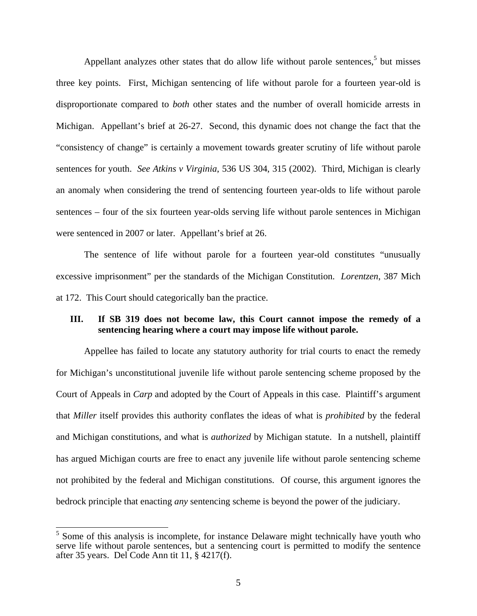Appellant analyzes other states that do allow life without parole sentences, $5$  but misses three key points. First, Michigan sentencing of life without parole for a fourteen year-old is disproportionate compared to *both* other states and the number of overall homicide arrests in Michigan. Appellant's brief at 26-27. Second, this dynamic does not change the fact that the "consistency of change" is certainly a movement towards greater scrutiny of life without parole sentences for youth. *See Atkins v Virginia*, 536 US 304, 315 (2002). Third, Michigan is clearly an anomaly when considering the trend of sentencing fourteen year-olds to life without parole sentences – four of the six fourteen year-olds serving life without parole sentences in Michigan were sentenced in 2007 or later. Appellant's brief at 26.

The sentence of life without parole for a fourteen year-old constitutes "unusually excessive imprisonment" per the standards of the Michigan Constitution. *Lorentzen*, 387 Mich at 172. This Court should categorically ban the practice.

#### **III. If SB 319 does not become law, this Court cannot impose the remedy of a sentencing hearing where a court may impose life without parole.**

Appellee has failed to locate any statutory authority for trial courts to enact the remedy for Michigan's unconstitutional juvenile life without parole sentencing scheme proposed by the Court of Appeals in *Carp* and adopted by the Court of Appeals in this case. Plaintiff's argument that *Miller* itself provides this authority conflates the ideas of what is *prohibited* by the federal and Michigan constitutions, and what is *authorized* by Michigan statute. In a nutshell, plaintiff has argued Michigan courts are free to enact any juvenile life without parole sentencing scheme not prohibited by the federal and Michigan constitutions. Of course, this argument ignores the bedrock principle that enacting *any* sentencing scheme is beyond the power of the judiciary.

<sup>&</sup>lt;sup>5</sup> Some of this analysis is incomplete, for instance Delaware might technically have youth who serve life without parole sentences, but a sentencing court is permitted to modify the sentence after 35 years. Del Code Ann tit 11, § 4217(f).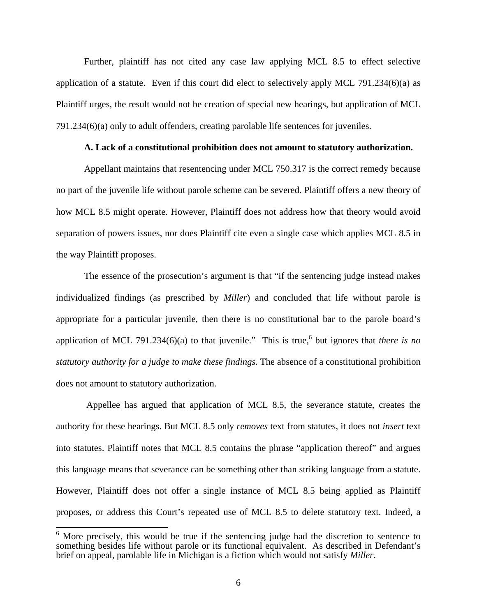Further, plaintiff has not cited any case law applying MCL 8.5 to effect selective application of a statute. Even if this court did elect to selectively apply MCL 791.234(6)(a) as Plaintiff urges, the result would not be creation of special new hearings, but application of MCL 791.234(6)(a) only to adult offenders, creating parolable life sentences for juveniles.

#### **A. Lack of a constitutional prohibition does not amount to statutory authorization.**

Appellant maintains that resentencing under MCL 750.317 is the correct remedy because no part of the juvenile life without parole scheme can be severed. Plaintiff offers a new theory of how MCL 8.5 might operate. However, Plaintiff does not address how that theory would avoid separation of powers issues, nor does Plaintiff cite even a single case which applies MCL 8.5 in the way Plaintiff proposes.

The essence of the prosecution's argument is that "if the sentencing judge instead makes individualized findings (as prescribed by *Miller*) and concluded that life without parole is appropriate for a particular juvenile, then there is no constitutional bar to the parole board's application of MCL 791.234 $(6)(a)$  to that juvenile." This is true,<sup>6</sup> but ignores that *there is no statutory authority for a judge to make these findings.* The absence of a constitutional prohibition does not amount to statutory authorization.

 Appellee has argued that application of MCL 8.5, the severance statute, creates the authority for these hearings. But MCL 8.5 only *removes* text from statutes, it does not *insert* text into statutes. Plaintiff notes that MCL 8.5 contains the phrase "application thereof" and argues this language means that severance can be something other than striking language from a statute. However, Plaintiff does not offer a single instance of MCL 8.5 being applied as Plaintiff proposes, or address this Court's repeated use of MCL 8.5 to delete statutory text. Indeed, a

 $\frac{6}{6}$  More precisely, this would be true if the sentencing judge had the discretion to sentence to something besides life without parole or its functional equivalent. As described in Defendant's brief on appeal, parolable life in Michigan is a fiction which would not satisfy *Miller*.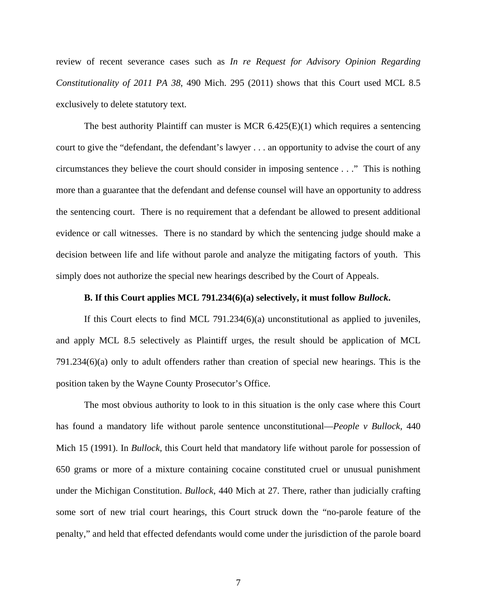review of recent severance cases such as *In re Request for Advisory Opinion Regarding Constitutionality of 2011 PA 38*, 490 Mich. 295 (2011) shows that this Court used MCL 8.5 exclusively to delete statutory text.

The best authority Plaintiff can muster is MCR  $6.425(E)(1)$  which requires a sentencing court to give the "defendant, the defendant's lawyer . . . an opportunity to advise the court of any circumstances they believe the court should consider in imposing sentence . . ." This is nothing more than a guarantee that the defendant and defense counsel will have an opportunity to address the sentencing court. There is no requirement that a defendant be allowed to present additional evidence or call witnesses. There is no standard by which the sentencing judge should make a decision between life and life without parole and analyze the mitigating factors of youth. This simply does not authorize the special new hearings described by the Court of Appeals.

#### **B. If this Court applies MCL 791.234(6)(a) selectively, it must follow** *Bullock***.**

If this Court elects to find MCL 791.234(6)(a) unconstitutional as applied to juveniles, and apply MCL 8.5 selectively as Plaintiff urges, the result should be application of MCL 791.234(6)(a) only to adult offenders rather than creation of special new hearings. This is the position taken by the Wayne County Prosecutor's Office.

The most obvious authority to look to in this situation is the only case where this Court has found a mandatory life without parole sentence unconstitutional—*People v Bullock*, 440 Mich 15 (1991). In *Bullock*, this Court held that mandatory life without parole for possession of 650 grams or more of a mixture containing cocaine constituted cruel or unusual punishment under the Michigan Constitution. *Bullock*, 440 Mich at 27. There, rather than judicially crafting some sort of new trial court hearings, this Court struck down the "no-parole feature of the penalty," and held that effected defendants would come under the jurisdiction of the parole board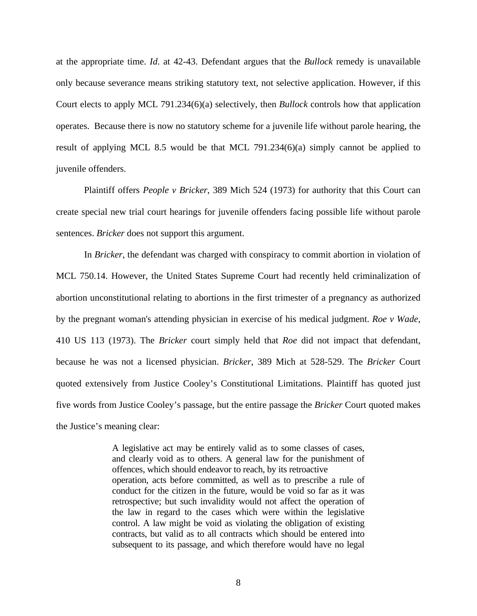at the appropriate time. *Id*. at 42-43. Defendant argues that the *Bullock* remedy is unavailable only because severance means striking statutory text, not selective application. However, if this Court elects to apply MCL 791.234(6)(a) selectively, then *Bullock* controls how that application operates. Because there is now no statutory scheme for a juvenile life without parole hearing, the result of applying MCL 8.5 would be that MCL 791.234(6)(a) simply cannot be applied to juvenile offenders.

Plaintiff offers *People v Bricker*, 389 Mich 524 (1973) for authority that this Court can create special new trial court hearings for juvenile offenders facing possible life without parole sentences. *Bricker* does not support this argument.

In *Bricker*, the defendant was charged with conspiracy to commit abortion in violation of MCL 750.14. However, the United States Supreme Court had recently held criminalization of abortion unconstitutional relating to abortions in the first trimester of a pregnancy as authorized by the pregnant woman's attending physician in exercise of his medical judgment. *Roe v Wade*, 410 US 113 (1973). The *Bricker* court simply held that *Roe* did not impact that defendant, because he was not a licensed physician. *Bricker*, 389 Mich at 528-529. The *Bricker* Court quoted extensively from Justice Cooley's Constitutional Limitations. Plaintiff has quoted just five words from Justice Cooley's passage, but the entire passage the *Bricker* Court quoted makes the Justice's meaning clear:

> A legislative act may be entirely valid as to some classes of cases, and clearly void as to others. A general law for the punishment of offences, which should endeavor to reach, by its retroactive operation, acts before committed, as well as to prescribe a rule of conduct for the citizen in the future, would be void so far as it was retrospective; but such invalidity would not affect the operation of the law in regard to the cases which were within the legislative control. A law might be void as violating the obligation of existing contracts, but valid as to all contracts which should be entered into subsequent to its passage, and which therefore would have no legal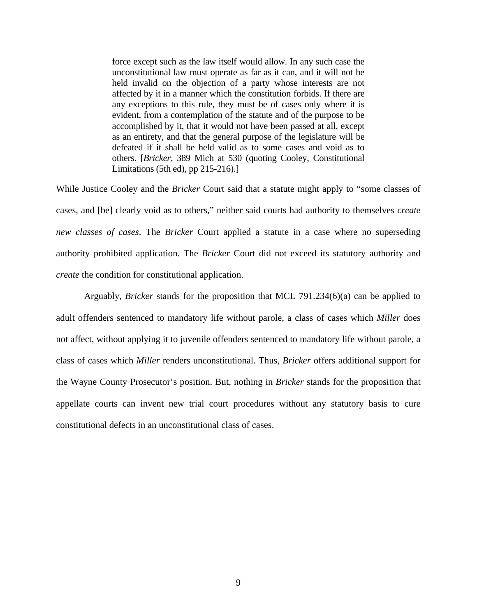force except such as the law itself would allow. In any such case the unconstitutional law must operate as far as it can, and it will not be held invalid on the objection of a party whose interests are not affected by it in a manner which the constitution forbids. If there are any exceptions to this rule, they must be of cases only where it is evident, from a contemplation of the statute and of the purpose to be accomplished by it, that it would not have been passed at all, except as an entirety, and that the general purpose of the legislature will be defeated if it shall be held valid as to some cases and void as to others. [*Bricker*, 389 Mich at 530 (quoting Cooley, Constitutional Limitations (5th ed), pp 215-216).]

While Justice Cooley and the *Bricker* Court said that a statute might apply to "some classes of cases, and [be] clearly void as to others," neither said courts had authority to themselves *create new classes of cases*. The *Bricker* Court applied a statute in a case where no superseding authority prohibited application. The *Bricker* Court did not exceed its statutory authority and *create* the condition for constitutional application.

Arguably, *Bricker* stands for the proposition that MCL 791.234(6)(a) can be applied to adult offenders sentenced to mandatory life without parole, a class of cases which *Miller* does not affect, without applying it to juvenile offenders sentenced to mandatory life without parole, a class of cases which *Miller* renders unconstitutional. Thus, *Bricker* offers additional support for the Wayne County Prosecutor's position. But, nothing in *Bricker* stands for the proposition that appellate courts can invent new trial court procedures without any statutory basis to cure constitutional defects in an unconstitutional class of cases.